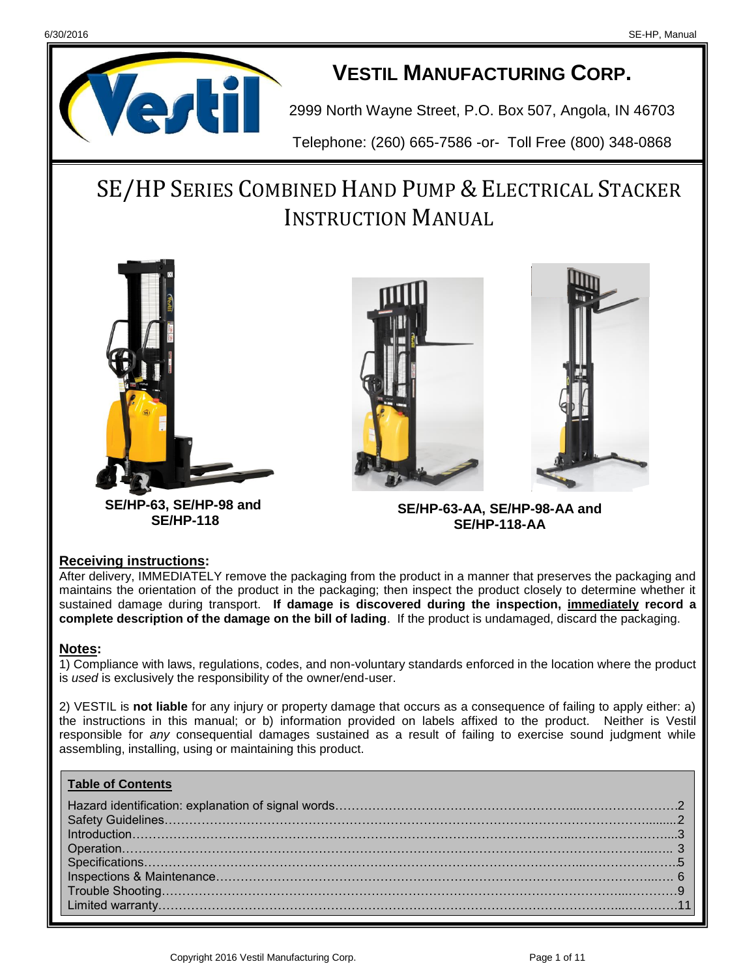

## **VESTIL MANUFACTURING CORP.**

2999 North Wayne Street, P.O. Box 507, Angola, IN 46703

Telephone: (260) 665-7586 -or- Toll Free (800) 348-0868

# SE/HP SERIES COMBINED HAND PUMP & ELECTRICAL STACKER **INSTRUCTION MANUAL**



**SE/HP-63, SE/HP-98 and SE/HP-118**



**SE/HP-63-AA, SE/HP-98-AA and SE/HP-118-AA**

#### **Receiving instructions:**

After delivery, IMMEDIATELY remove the packaging from the product in a manner that preserves the packaging and maintains the orientation of the product in the packaging; then inspect the product closely to determine whether it sustained damage during transport. **If damage is discovered during the inspection, immediately record a complete description of the damage on the bill of lading**. If the product is undamaged, discard the packaging.

#### **Notes:**

1) Compliance with laws, regulations, codes, and non-voluntary standards enforced in the location where the product is *used* is exclusively the responsibility of the owner/end-user.

2) VESTIL is **not liable** for any injury or property damage that occurs as a consequence of failing to apply either: a) the instructions in this manual; or b) information provided on labels affixed to the product. Neither is Vestil responsible for *any* consequential damages sustained as a result of failing to exercise sound judgment while assembling, installing, using or maintaining this product.

#### **Table of Contents**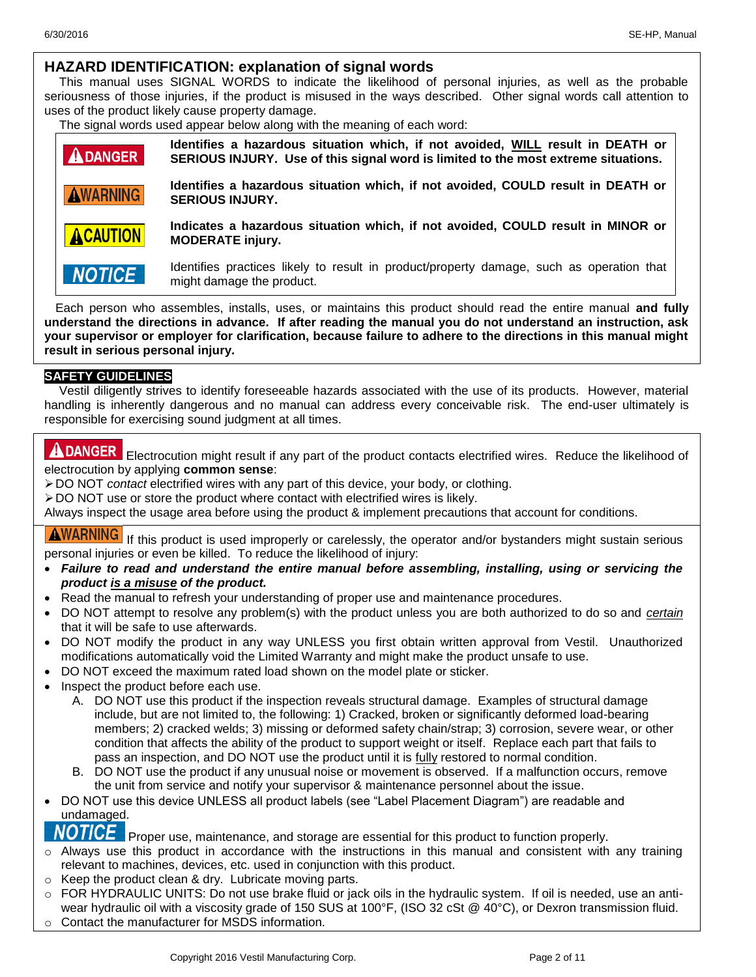#### **HAZARD IDENTIFICATION: explanation of signal words**

This manual uses SIGNAL WORDS to indicate the likelihood of personal injuries, as well as the probable seriousness of those injuries, if the product is misused in the ways described. Other signal words call attention to uses of the product likely cause property damage.

The signal words used appear below along with the meaning of each word:

| <b>ADANGER</b>  | Identifies a hazardous situation which, if not avoided, WILL result in DEATH or<br>SERIOUS INJURY. Use of this signal word is limited to the most extreme situations. |
|-----------------|-----------------------------------------------------------------------------------------------------------------------------------------------------------------------|
| <b>AWARNING</b> | Identifies a hazardous situation which, if not avoided, COULD result in DEATH or<br><b>SERIOUS INJURY.</b>                                                            |
| <b>ACAUTION</b> | Indicates a hazardous situation which, if not avoided, COULD result in MINOR or<br><b>MODERATE injury.</b>                                                            |
| <b>NOTICE</b>   | Identifies practices likely to result in product/property damage, such as operation that<br>might damage the product.                                                 |

Each person who assembles, installs, uses, or maintains this product should read the entire manual **and fully understand the directions in advance. If after reading the manual you do not understand an instruction, ask your supervisor or employer for clarification, because failure to adhere to the directions in this manual might result in serious personal injury.**

#### **SAFETY GUIDELINES**

Vestil diligently strives to identify foreseeable hazards associated with the use of its products. However, material handling is inherently dangerous and no manual can address every conceivable risk. The end-user ultimately is responsible for exercising sound judgment at all times.

**ADANGER** Electrocution might result if any part of the product contacts electrified wires. Reduce the likelihood of electrocution by applying **common sense**:

DO NOT *contact* electrified wires with any part of this device, your body, or clothing.

 $\geq$  DO NOT use or store the product where contact with electrified wires is likely.

Always inspect the usage area before using the product & implement precautions that account for conditions.

**AWARNING** If this product is used improperly or carelessly, the operator and/or bystanders might sustain serious personal injuries or even be killed. To reduce the likelihood of injury:

- *Failure to read and understand the entire manual before assembling, installing, using or servicing the product is a misuse of the product.*
- Read the manual to refresh your understanding of proper use and maintenance procedures.
- DO NOT attempt to resolve any problem(s) with the product unless you are both authorized to do so and *certain* that it will be safe to use afterwards.
- DO NOT modify the product in any way UNLESS you first obtain written approval from Vestil. Unauthorized modifications automatically void the Limited Warranty and might make the product unsafe to use.
- DO NOT exceed the maximum rated load shown on the model plate or sticker.
- Inspect the product before each use.
	- A. DO NOT use this product if the inspection reveals structural damage. Examples of structural damage include, but are not limited to, the following: 1) Cracked, broken or significantly deformed load-bearing members; 2) cracked welds; 3) missing or deformed safety chain/strap; 3) corrosion, severe wear, or other condition that affects the ability of the product to support weight or itself. Replace each part that fails to pass an inspection, and DO NOT use the product until it is fully restored to normal condition.
	- B. DO NOT use the product if any unusual noise or movement is observed. If a malfunction occurs, remove the unit from service and notify your supervisor & maintenance personnel about the issue.
- DO NOT use this device UNLESS all product labels (see "Label Placement Diagram") are readable and undamaged.
- Proper use, maintenance, and storage are essential for this product to function properly.
- $\circ$  Always use this product in accordance with the instructions in this manual and consistent with any training relevant to machines, devices, etc. used in conjunction with this product.
- o Keep the product clean & dry. Lubricate moving parts.
- o FOR HYDRAULIC UNITS: Do not use brake fluid or jack oils in the hydraulic system. If oil is needed, use an antiwear hydraulic oil with a viscosity grade of 150 SUS at 100°F, (ISO 32 cSt @ 40°C), or Dexron transmission fluid.
- o Contact the manufacturer for MSDS information.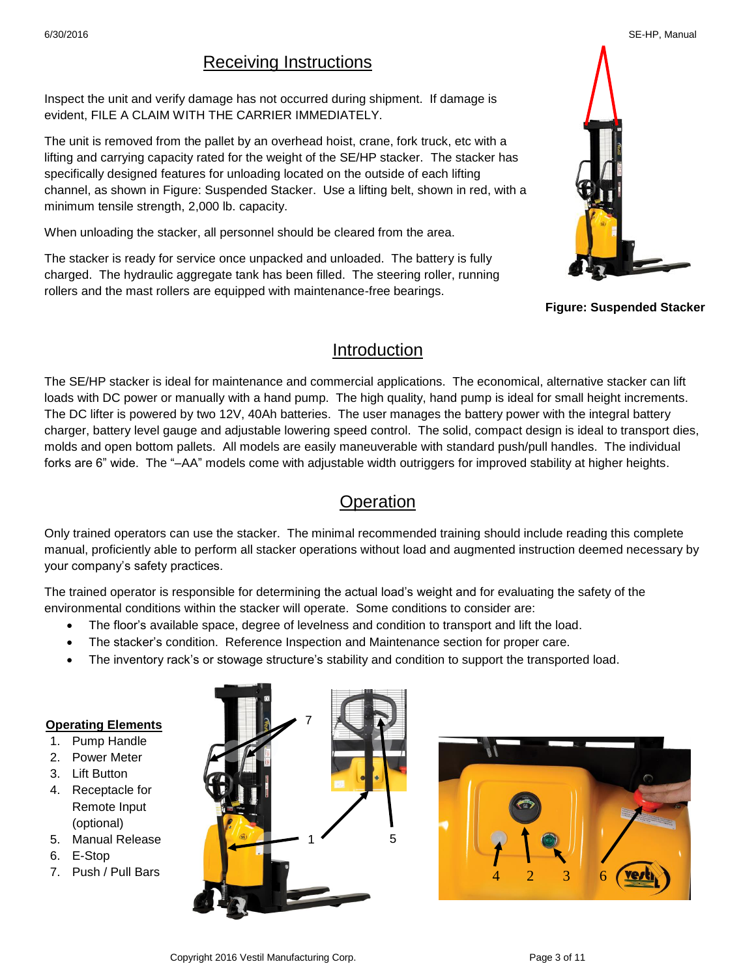## Receiving Instructions

Inspect the unit and verify damage has not occurred during shipment. If damage is evident, FILE A CLAIM WITH THE CARRIER IMMEDIATELY.

The unit is removed from the pallet by an overhead hoist, crane, fork truck, etc with a lifting and carrying capacity rated for the weight of the SE/HP stacker. The stacker has specifically designed features for unloading located on the outside of each lifting channel, as shown in Figure: Suspended Stacker. Use a lifting belt, shown in red, with a minimum tensile strength, 2,000 lb. capacity.

When unloading the stacker, all personnel should be cleared from the area.

The stacker is ready for service once unpacked and unloaded. The battery is fully charged. The hydraulic aggregate tank has been filled. The steering roller, running rollers and the mast rollers are equipped with maintenance-free bearings.



**Figure: Suspended Stacker**

## Introduction

The SE/HP stacker is ideal for maintenance and commercial applications. The economical, alternative stacker can lift loads with DC power or manually with a hand pump. The high quality, hand pump is ideal for small height increments. The DC lifter is powered by two 12V, 40Ah batteries. The user manages the battery power with the integral battery charger, battery level gauge and adjustable lowering speed control. The solid, compact design is ideal to transport dies, molds and open bottom pallets. All models are easily maneuverable with standard push/pull handles. The individual forks are 6" wide. The "–AA" models come with adjustable width outriggers for improved stability at higher heights.

## **Operation**

Only trained operators can use the stacker. The minimal recommended training should include reading this complete manual, proficiently able to perform all stacker operations without load and augmented instruction deemed necessary by your company's safety practices.

The trained operator is responsible for determining the actual load's weight and for evaluating the safety of the environmental conditions within the stacker will operate. Some conditions to consider are:

- The floor's available space, degree of levelness and condition to transport and lift the load.
- The stacker's condition. Reference Inspection and Maintenance section for proper care.
- The inventory rack's or stowage structure's stability and condition to support the transported load.

#### **Operating Elements**

- 1. Pump Handle
- 2. Power Meter
- 3. Lift Button
- 4. Receptacle for Remote Input (optional)
- 5. Manual Release
- 6. E-Stop
- 7. Push / Pull Bars





#### 6/30/2016 SE-HP, Manual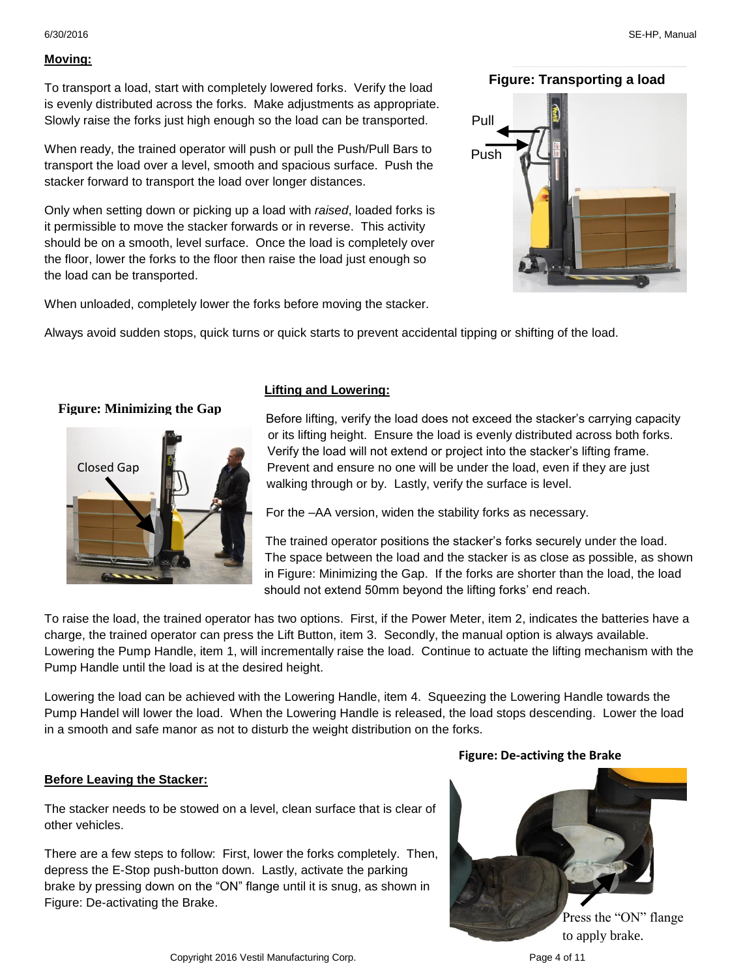6/30/2016 SE-HP, Manual

To transport a load, start with completely lowered forks. Verify the load is evenly distributed across the forks. Make adjustments as appropriate. Slowly raise the forks just high enough so the load can be transported.

When ready, the trained operator will push or pull the Push/Pull Bars to transport the load over a level, smooth and spacious surface. Push the stacker forward to transport the load over longer distances.

Only when setting down or picking up a load with *raised*, loaded forks is it permissible to move the stacker forwards or in reverse. This activity should be on a smooth, level surface. Once the load is completely over the floor, lower the forks to the floor then raise the load just enough so the load can be transported.

When unloaded, completely lower the forks before moving the stacker.

## **Figure: Transporting a load**



Always avoid sudden stops, quick turns or quick starts to prevent accidental tipping or shifting of the load.

## **Figure: Minimizing the Gap**



#### **Lifting and Lowering:**

Before lifting, verify the load does not exceed the stacker's carrying capacity or its lifting height. Ensure the load is evenly distributed across both forks. Verify the load will not extend or project into the stacker's lifting frame. Prevent and ensure no one will be under the load, even if they are just walking through or by. Lastly, verify the surface is level.

For the –AA version, widen the stability forks as necessary.

The trained operator positions the stacker's forks securely under the load. The space between the load and the stacker is as close as possible, as shown in Figure: Minimizing the Gap. If the forks are shorter than the load, the load should not extend 50mm beyond the lifting forks' end reach.

To raise the load, the trained operator has two options. First, if the Power Meter, item 2, indicates the batteries have a charge, the trained operator can press the Lift Button, item 3. Secondly, the manual option is always available. Lowering the Pump Handle, item 1, will incrementally raise the load. Continue to actuate the lifting mechanism with the Pump Handle until the load is at the desired height.

Lowering the load can be achieved with the Lowering Handle, item 4. Squeezing the Lowering Handle towards the Pump Handel will lower the load. When the Lowering Handle is released, the load stops descending. Lower the load in a smooth and safe manor as not to disturb the weight distribution on the forks.

#### **Before Leaving the Stacker:**

The stacker needs to be stowed on a level, clean surface that is clear of other vehicles.

There are a few steps to follow: First, lower the forks completely. Then, depress the E-Stop push-button down. Lastly, activate the parking brake by pressing down on the "ON" flange until it is snug, as shown in Figure: De-activating the Brake.

#### **Figure: De-activing the Brake**

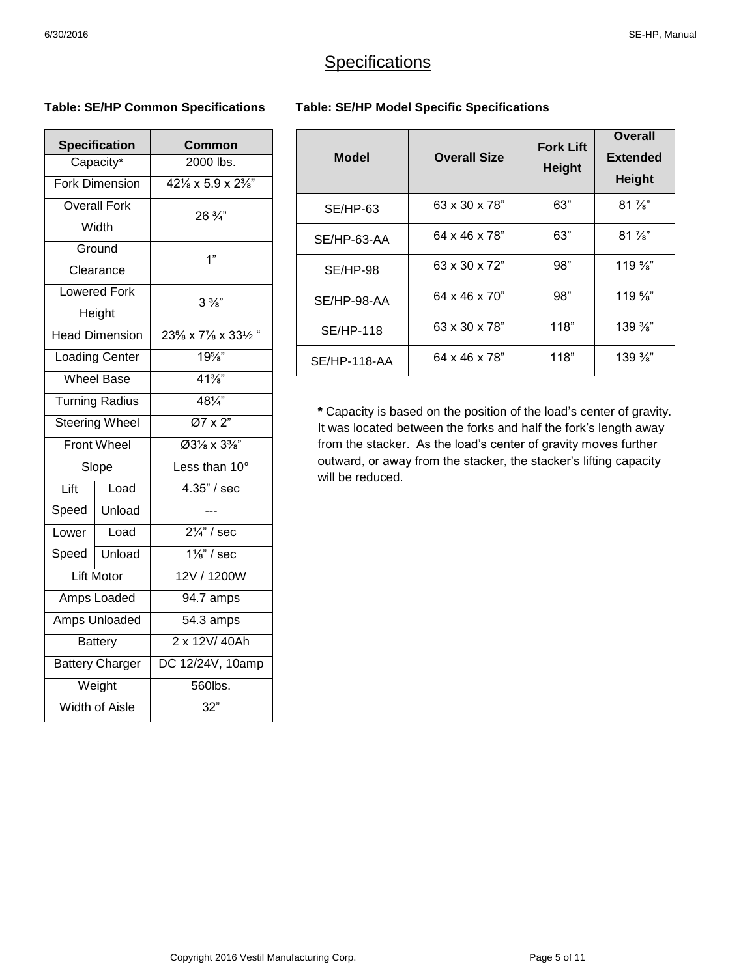## **Specifications**

#### **Table: SE/HP Common Specifications**

| <b>Specification</b>   |                       | Common                                         |  |
|------------------------|-----------------------|------------------------------------------------|--|
|                        | Capacity*             | 2000 lbs.                                      |  |
|                        | <b>Fork Dimension</b> | $42\frac{1}{8} \times 5.9 \times 2\frac{3}{8}$ |  |
|                        | <b>Overall Fork</b>   | 26 3/4"                                        |  |
|                        | Width                 |                                                |  |
|                        | Ground                | 1"                                             |  |
| Clearance              |                       |                                                |  |
| Lowered Fork           |                       | $3\frac{3}{8}$                                 |  |
| Height                 |                       |                                                |  |
| <b>Head Dimension</b>  |                       | 23% x 7% x 33% "                               |  |
| <b>Loading Center</b>  |                       | $19\%$                                         |  |
| <b>Wheel Base</b>      |                       | $41\frac{3}{8}$                                |  |
| <b>Turning Radius</b>  |                       | $48\frac{1}{4}$                                |  |
| <b>Steering Wheel</b>  |                       | $\overline{Q7 \times 2"}$                      |  |
| <b>Front Wheel</b>     |                       | Ø31/8 x 33/8"                                  |  |
| Slope                  |                       | Less than 10°                                  |  |
| Lift                   | Load                  | $4.35$ " / sec                                 |  |
| Speed                  | Unload                |                                                |  |
| Lower                  | Load                  | $2\frac{1}{4}$ / sec                           |  |
| Speed                  | Unload                | $1\frac{1}{8}$ " / sec                         |  |
|                        | <b>Lift Motor</b>     | 12V / 1200W                                    |  |
| Amps Loaded            |                       | 94.7 amps                                      |  |
| Amps Unloaded          |                       | 54.3 amps                                      |  |
| <b>Battery</b>         |                       | 2 x 12V/40Ah                                   |  |
| <b>Battery Charger</b> |                       | DC 12/24V, 10amp                               |  |
| Weight                 |                       | 560lbs.                                        |  |
| <b>Width of Aisle</b>  |                       | $\overline{32}$ "                              |  |

#### **Table: SE/HP Model Specific Specifications**

| <b>Model</b>     | <b>Overall Size</b> | <b>Fork Lift</b><br><b>Height</b> | <b>Overall</b><br><b>Extended</b><br><b>Height</b> |
|------------------|---------------------|-----------------------------------|----------------------------------------------------|
| <b>SE/HP-63</b>  | 63 x 30 x 78"       | 63"                               | $81\frac{7}{8}$                                    |
| SE/HP-63-AA      | 64 x 46 x 78"       | 63"                               | $81\frac{7}{8}$                                    |
| <b>SE/HP-98</b>  | 63 x 30 x 72"       | 98"                               | $119\,\frac{5}{8}$                                 |
| SE/HP-98-AA      | 64 x 46 x 70"       | 98"                               | $119\frac{5}{8}$                                   |
| <b>SE/HP-118</b> | 63 x 30 x 78"       | 118"                              | $139 \%$                                           |
| SE/HP-118-AA     | 64 x 46 x 78"       | 118"                              | $139\frac{3}{8}$                                   |

**\*** Capacity is based on the position of the load's center of gravity. It was located between the forks and half the fork's length away from the stacker. As the load's center of gravity moves further outward, or away from the stacker, the stacker's lifting capacity will be reduced.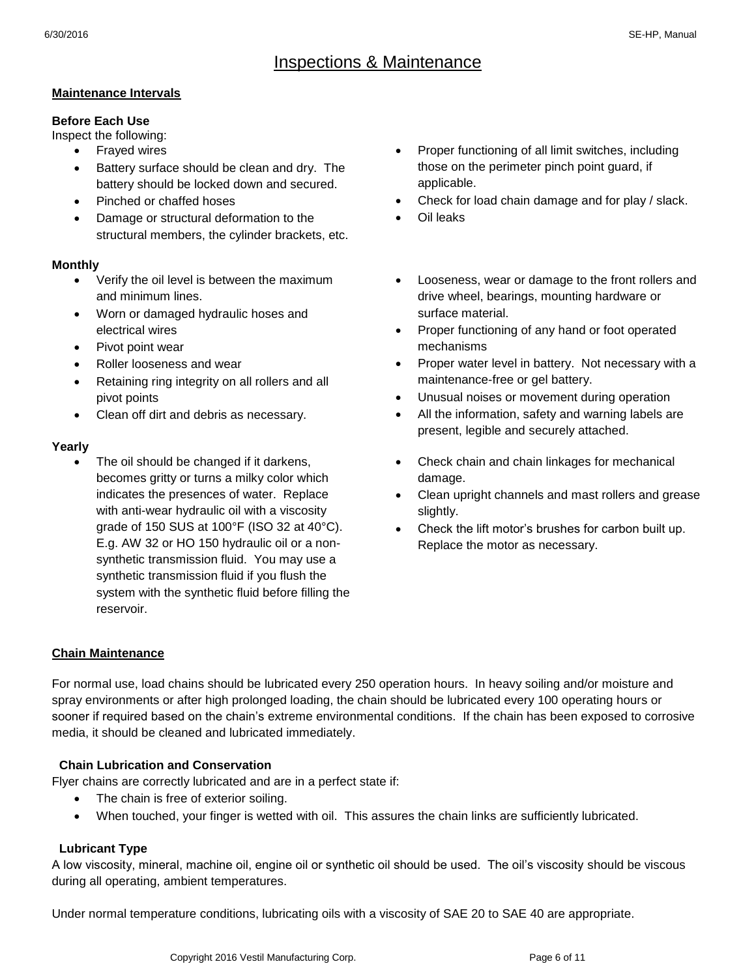## Inspections & Maintenance

#### **Maintenance Intervals**

#### **Before Each Use**

Inspect the following:

- Frayed wires
- Battery surface should be clean and dry. The battery should be locked down and secured.
- Pinched or chaffed hoses
- Damage or structural deformation to the structural members, the cylinder brackets, etc.

#### **Monthly**

- Verify the oil level is between the maximum and minimum lines.
- Worn or damaged hydraulic hoses and electrical wires
- Pivot point wear
- Roller looseness and wear
- Retaining ring integrity on all rollers and all pivot points
- Clean off dirt and debris as necessary.

#### **Yearly**

 The oil should be changed if it darkens, becomes gritty or turns a milky color which indicates the presences of water. Replace with anti-wear hydraulic oil with a viscosity grade of 150 SUS at 100°F (ISO 32 at 40°C). E.g. AW 32 or HO 150 hydraulic oil or a nonsynthetic transmission fluid. You may use a synthetic transmission fluid if you flush the system with the synthetic fluid before filling the reservoir.

- Proper functioning of all limit switches, including those on the perimeter pinch point guard, if applicable.
- Check for load chain damage and for play / slack.
- Oil leaks
- Looseness, wear or damage to the front rollers and drive wheel, bearings, mounting hardware or surface material.
- Proper functioning of any hand or foot operated mechanisms
- Proper water level in battery. Not necessary with a maintenance-free or gel battery.
- Unusual noises or movement during operation
- All the information, safety and warning labels are present, legible and securely attached.
- Check chain and chain linkages for mechanical damage.
- Clean upright channels and mast rollers and grease slightly.
- Check the lift motor's brushes for carbon built up. Replace the motor as necessary.

#### **Chain Maintenance**

For normal use, load chains should be lubricated every 250 operation hours. In heavy soiling and/or moisture and spray environments or after high prolonged loading, the chain should be lubricated every 100 operating hours or sooner if required based on the chain's extreme environmental conditions. If the chain has been exposed to corrosive media, it should be cleaned and lubricated immediately.

#### **Chain Lubrication and Conservation**

Flyer chains are correctly lubricated and are in a perfect state if:

- The chain is free of exterior soiling.
- When touched, your finger is wetted with oil. This assures the chain links are sufficiently lubricated.

#### **Lubricant Type**

A low viscosity, mineral, machine oil, engine oil or synthetic oil should be used. The oil's viscosity should be viscous during all operating, ambient temperatures.

Under normal temperature conditions, lubricating oils with a viscosity of SAE 20 to SAE 40 are appropriate.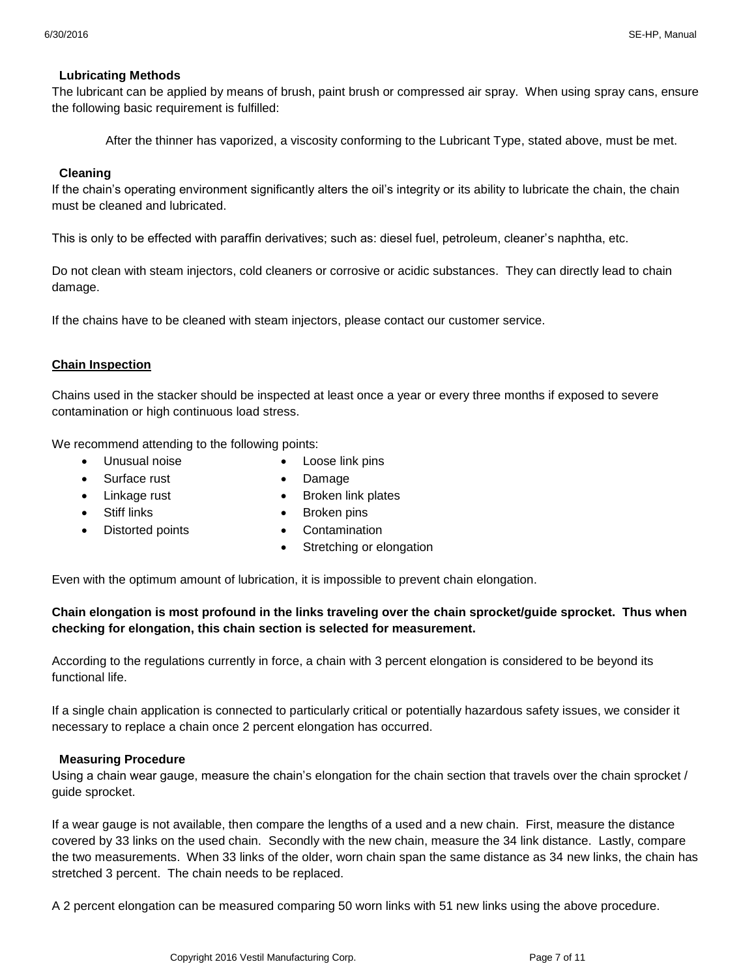#### **Lubricating Methods**

The lubricant can be applied by means of brush, paint brush or compressed air spray. When using spray cans, ensure the following basic requirement is fulfilled:

After the thinner has vaporized, a viscosity conforming to the Lubricant Type, stated above, must be met.

#### **Cleaning**

If the chain's operating environment significantly alters the oil's integrity or its ability to lubricate the chain, the chain must be cleaned and lubricated.

This is only to be effected with paraffin derivatives; such as: diesel fuel, petroleum, cleaner's naphtha, etc.

Do not clean with steam injectors, cold cleaners or corrosive or acidic substances. They can directly lead to chain damage.

If the chains have to be cleaned with steam injectors, please contact our customer service.

#### **Chain Inspection**

Chains used in the stacker should be inspected at least once a year or every three months if exposed to severe contamination or high continuous load stress.

We recommend attending to the following points:

- Unusual noise
	- Surface rust
- Loose link pins Damage
- Linkage rust
- Broken link plates

• Stiff links

- Broken pins
- Distorted points
- Contamination
- Stretching or elongation

Even with the optimum amount of lubrication, it is impossible to prevent chain elongation.

#### **Chain elongation is most profound in the links traveling over the chain sprocket/guide sprocket. Thus when checking for elongation, this chain section is selected for measurement.**

According to the regulations currently in force, a chain with 3 percent elongation is considered to be beyond its functional life.

If a single chain application is connected to particularly critical or potentially hazardous safety issues, we consider it necessary to replace a chain once 2 percent elongation has occurred.

#### **Measuring Procedure**

Using a chain wear gauge, measure the chain's elongation for the chain section that travels over the chain sprocket / guide sprocket.

If a wear gauge is not available, then compare the lengths of a used and a new chain. First, measure the distance covered by 33 links on the used chain. Secondly with the new chain, measure the 34 link distance. Lastly, compare the two measurements. When 33 links of the older, worn chain span the same distance as 34 new links, the chain has stretched 3 percent. The chain needs to be replaced.

A 2 percent elongation can be measured comparing 50 worn links with 51 new links using the above procedure.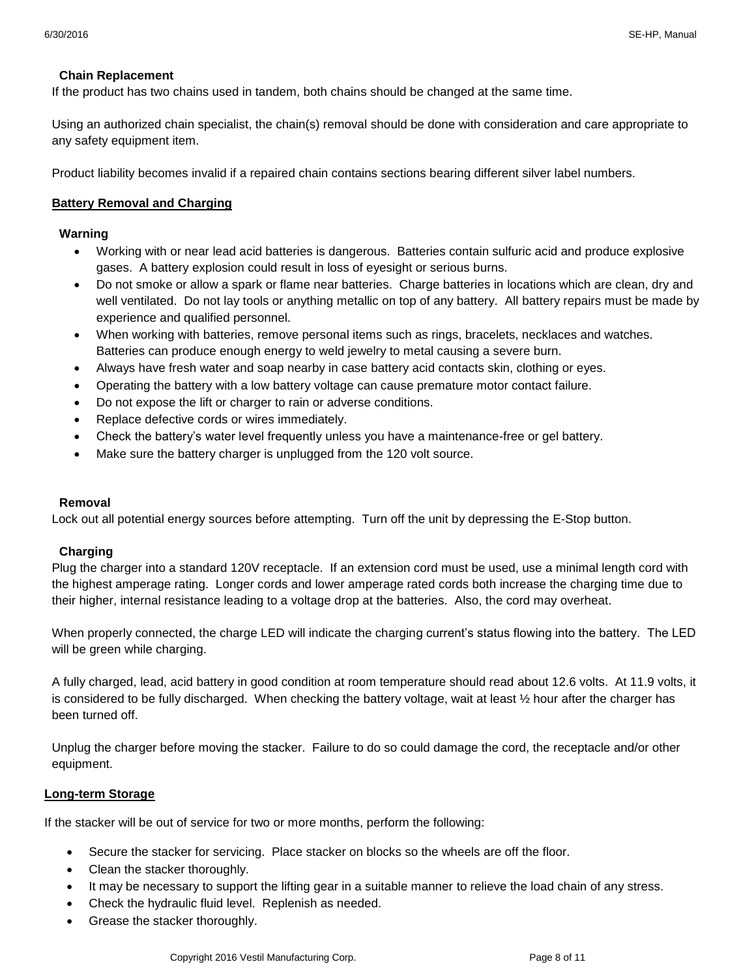#### **Chain Replacement**

If the product has two chains used in tandem, both chains should be changed at the same time.

Using an authorized chain specialist, the chain(s) removal should be done with consideration and care appropriate to any safety equipment item.

Product liability becomes invalid if a repaired chain contains sections bearing different silver label numbers.

#### **Battery Removal and Charging**

#### **Warning**

- Working with or near lead acid batteries is dangerous. Batteries contain sulfuric acid and produce explosive gases. A battery explosion could result in loss of eyesight or serious burns.
- Do not smoke or allow a spark or flame near batteries. Charge batteries in locations which are clean, dry and well ventilated. Do not lay tools or anything metallic on top of any battery. All battery repairs must be made by experience and qualified personnel.
- When working with batteries, remove personal items such as rings, bracelets, necklaces and watches. Batteries can produce enough energy to weld jewelry to metal causing a severe burn.
- Always have fresh water and soap nearby in case battery acid contacts skin, clothing or eyes.
- Operating the battery with a low battery voltage can cause premature motor contact failure.
- Do not expose the lift or charger to rain or adverse conditions.
- Replace defective cords or wires immediately.
- Check the battery's water level frequently unless you have a maintenance-free or gel battery.
- Make sure the battery charger is unplugged from the 120 volt source.

#### **Removal**

Lock out all potential energy sources before attempting. Turn off the unit by depressing the E-Stop button.

#### **Charging**

Plug the charger into a standard 120V receptacle. If an extension cord must be used, use a minimal length cord with the highest amperage rating. Longer cords and lower amperage rated cords both increase the charging time due to their higher, internal resistance leading to a voltage drop at the batteries. Also, the cord may overheat.

When properly connected, the charge LED will indicate the charging current's status flowing into the battery. The LED will be green while charging.

A fully charged, lead, acid battery in good condition at room temperature should read about 12.6 volts. At 11.9 volts, it is considered to be fully discharged. When checking the battery voltage, wait at least ½ hour after the charger has been turned off.

Unplug the charger before moving the stacker. Failure to do so could damage the cord, the receptacle and/or other equipment.

#### **Long-term Storage**

If the stacker will be out of service for two or more months, perform the following:

- Secure the stacker for servicing. Place stacker on blocks so the wheels are off the floor.
- Clean the stacker thoroughly.
- It may be necessary to support the lifting gear in a suitable manner to relieve the load chain of any stress.
- Check the hydraulic fluid level. Replenish as needed.
- Grease the stacker thoroughly.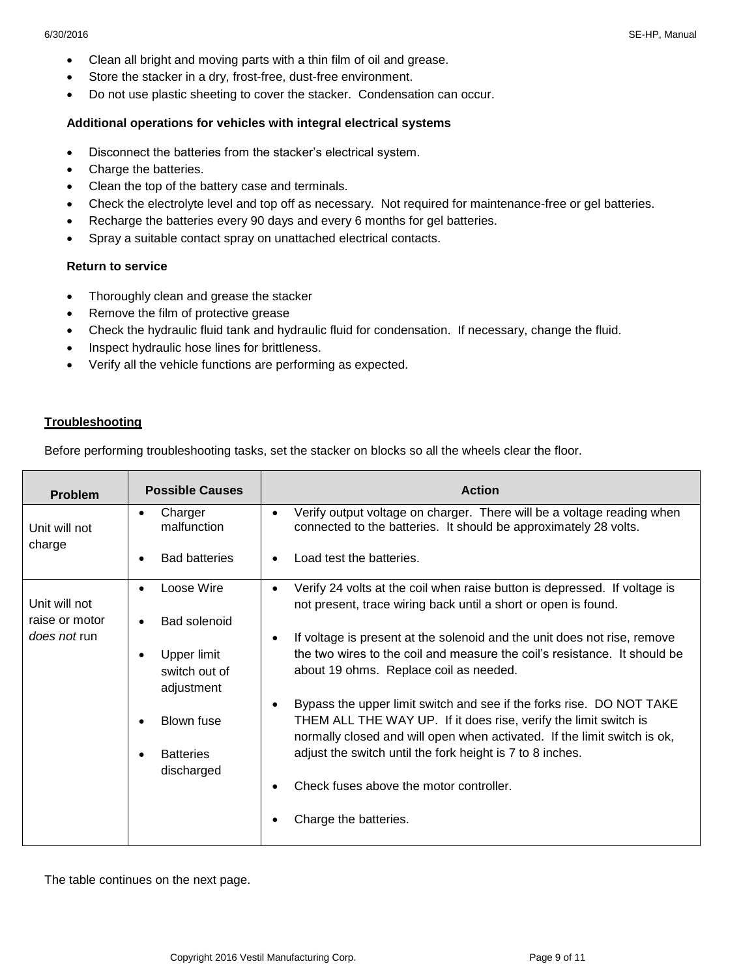- Clean all bright and moving parts with a thin film of oil and grease.
- Store the stacker in a dry, frost-free, dust-free environment.
- Do not use plastic sheeting to cover the stacker. Condensation can occur.

#### **Additional operations for vehicles with integral electrical systems**

- Disconnect the batteries from the stacker's electrical system.
- Charge the batteries.
- Clean the top of the battery case and terminals.
- Check the electrolyte level and top off as necessary. Not required for maintenance-free or gel batteries.
- Recharge the batteries every 90 days and every 6 months for gel batteries.
- Spray a suitable contact spray on unattached electrical contacts.

#### **Return to service**

- Thoroughly clean and grease the stacker
- Remove the film of protective grease
- Check the hydraulic fluid tank and hydraulic fluid for condensation. If necessary, change the fluid.
- Inspect hydraulic hose lines for brittleness.
- Verify all the vehicle functions are performing as expected.

#### **Troubleshooting**

Before performing troubleshooting tasks, set the stacker on blocks so all the wheels clear the floor.

| <b>Problem</b>                  | <b>Possible Causes</b>                       | <b>Action</b>                                                                                                                                                                                                                                                                     |
|---------------------------------|----------------------------------------------|-----------------------------------------------------------------------------------------------------------------------------------------------------------------------------------------------------------------------------------------------------------------------------------|
| Unit will not                   | Charger<br>malfunction                       | Verify output voltage on charger. There will be a voltage reading when<br>$\bullet$<br>connected to the batteries. It should be approximately 28 volts.                                                                                                                           |
| charge                          | <b>Bad batteries</b>                         | Load test the batteries.                                                                                                                                                                                                                                                          |
| Unit will not<br>raise or motor | Loose Wire<br><b>Bad solenoid</b>            | Verify 24 volts at the coil when raise button is depressed. If voltage is<br>$\bullet$<br>not present, trace wiring back until a short or open is found.                                                                                                                          |
| does not run                    | Upper limit<br>switch out of<br>adjustment   | If voltage is present at the solenoid and the unit does not rise, remove<br>the two wires to the coil and measure the coil's resistance. It should be<br>about 19 ohms. Replace coil as needed.                                                                                   |
|                                 | Blown fuse<br><b>Batteries</b><br>discharged | Bypass the upper limit switch and see if the forks rise. DO NOT TAKE<br>THEM ALL THE WAY UP. If it does rise, verify the limit switch is<br>normally closed and will open when activated. If the limit switch is ok,<br>adjust the switch until the fork height is 7 to 8 inches. |
|                                 |                                              | Check fuses above the motor controller.                                                                                                                                                                                                                                           |
|                                 |                                              | Charge the batteries.                                                                                                                                                                                                                                                             |

The table continues on the next page.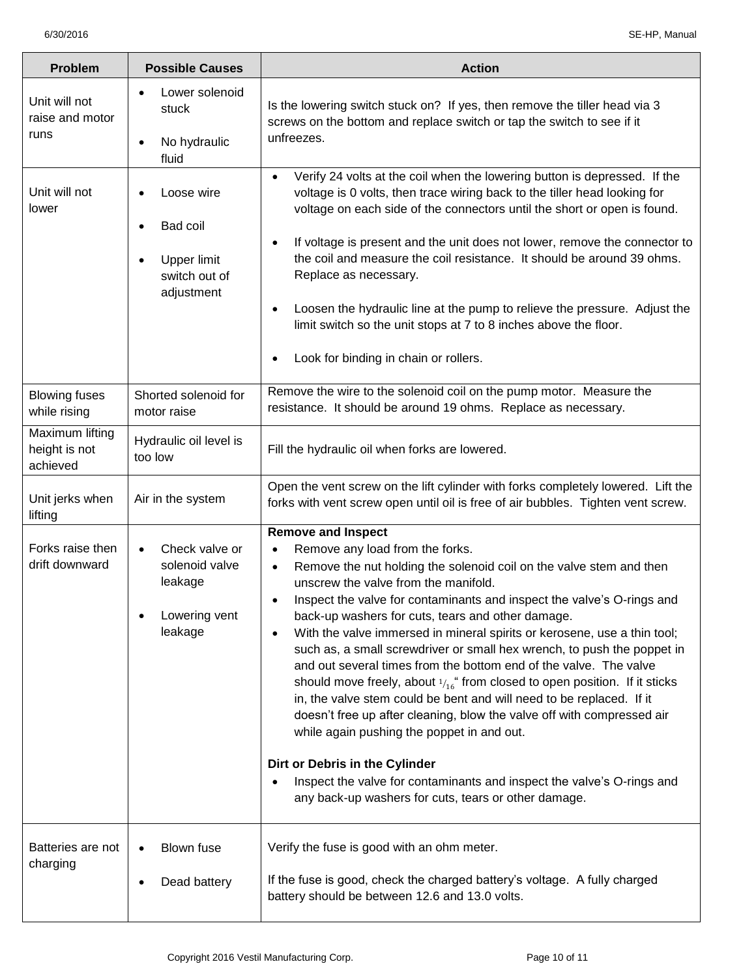| Problem                                      | <b>Possible Causes</b>                                                                                      | <b>Action</b>                                                                                                                                                                                                                                                                                                                                                                                                                                                                                                                                                                                                                                                                                                                                                                                                                                                                                                                                                                                                            |
|----------------------------------------------|-------------------------------------------------------------------------------------------------------------|--------------------------------------------------------------------------------------------------------------------------------------------------------------------------------------------------------------------------------------------------------------------------------------------------------------------------------------------------------------------------------------------------------------------------------------------------------------------------------------------------------------------------------------------------------------------------------------------------------------------------------------------------------------------------------------------------------------------------------------------------------------------------------------------------------------------------------------------------------------------------------------------------------------------------------------------------------------------------------------------------------------------------|
| Unit will not<br>raise and motor<br>runs     | Lower solenoid<br>stuck<br>No hydraulic<br>$\bullet$<br>fluid                                               | Is the lowering switch stuck on? If yes, then remove the tiller head via 3<br>screws on the bottom and replace switch or tap the switch to see if it<br>unfreezes.                                                                                                                                                                                                                                                                                                                                                                                                                                                                                                                                                                                                                                                                                                                                                                                                                                                       |
| Unit will not<br>lower                       | Loose wire<br>$\bullet$<br>Bad coil<br>$\bullet$<br>Upper limit<br>$\bullet$<br>switch out of<br>adjustment | Verify 24 volts at the coil when the lowering button is depressed. If the<br>$\bullet$<br>voltage is 0 volts, then trace wiring back to the tiller head looking for<br>voltage on each side of the connectors until the short or open is found.<br>If voltage is present and the unit does not lower, remove the connector to<br>$\bullet$<br>the coil and measure the coil resistance. It should be around 39 ohms.<br>Replace as necessary.<br>Loosen the hydraulic line at the pump to relieve the pressure. Adjust the<br>$\bullet$<br>limit switch so the unit stops at 7 to 8 inches above the floor.<br>Look for binding in chain or rollers.                                                                                                                                                                                                                                                                                                                                                                     |
| <b>Blowing fuses</b><br>while rising         | Shorted solenoid for<br>motor raise                                                                         | Remove the wire to the solenoid coil on the pump motor. Measure the<br>resistance. It should be around 19 ohms. Replace as necessary.                                                                                                                                                                                                                                                                                                                                                                                                                                                                                                                                                                                                                                                                                                                                                                                                                                                                                    |
| Maximum lifting<br>height is not<br>achieved | Hydraulic oil level is<br>too low                                                                           | Fill the hydraulic oil when forks are lowered.                                                                                                                                                                                                                                                                                                                                                                                                                                                                                                                                                                                                                                                                                                                                                                                                                                                                                                                                                                           |
| Unit jerks when<br>lifting                   | Air in the system                                                                                           | Open the vent screw on the lift cylinder with forks completely lowered. Lift the<br>forks with vent screw open until oil is free of air bubbles. Tighten vent screw.                                                                                                                                                                                                                                                                                                                                                                                                                                                                                                                                                                                                                                                                                                                                                                                                                                                     |
| Forks raise then<br>drift downward           | Check valve or<br>$\bullet$<br>solenoid valve<br>leakage<br>Lowering vent<br>leakage                        | <b>Remove and Inspect</b><br>Remove any load from the forks.<br>Remove the nut holding the solenoid coil on the valve stem and then<br>$\bullet$<br>unscrew the valve from the manifold.<br>Inspect the valve for contaminants and inspect the valve's O-rings and<br>٠<br>back-up washers for cuts, tears and other damage.<br>With the valve immersed in mineral spirits or kerosene, use a thin tool;<br>$\bullet$<br>such as, a small screwdriver or small hex wrench, to push the poppet in<br>and out several times from the bottom end of the valve. The valve<br>should move freely, about $1/16$ from closed to open position. If it sticks<br>in, the valve stem could be bent and will need to be replaced. If it<br>doesn't free up after cleaning, blow the valve off with compressed air<br>while again pushing the poppet in and out.<br>Dirt or Debris in the Cylinder<br>Inspect the valve for contaminants and inspect the valve's O-rings and<br>any back-up washers for cuts, tears or other damage. |
| Batteries are not<br>charging                | <b>Blown fuse</b><br>$\bullet$<br>Dead battery                                                              | Verify the fuse is good with an ohm meter.<br>If the fuse is good, check the charged battery's voltage. A fully charged<br>battery should be between 12.6 and 13.0 volts.                                                                                                                                                                                                                                                                                                                                                                                                                                                                                                                                                                                                                                                                                                                                                                                                                                                |